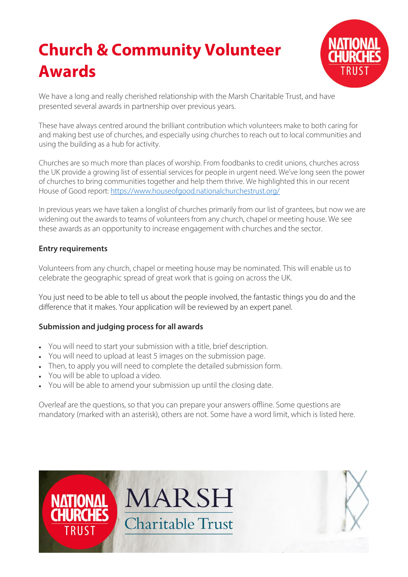# **Church & Community Volunteer Awards**



We have a long and really cherished relationship with the Marsh Charitable Trust, and have presented several awards in partnership over previous years.

These have always centred around the brilliant contribution which volunteers make to both caring for and making best use of churches, and especially using churches to reach out to local communities and using the building as a hub for activity.

Churches are so much more than places of worship. From foodbanks to credit unions, churches across the UK provide a growing list of essential services for people in urgent need. We've long seen the power of churches to bring communities together and help them thrive. We highlighted this in our recent House of Good report:<https://www.houseofgood.nationalchurchestrust.org/>

In previous years we have taken a longlist of churches primarily from our list of grantees, but now we are widening out the awards to teams of volunteers from any church, chapel or meeting house. We see these awards as an opportunity to increase engagement with churches and the sector.

## **Entry requirements**

Volunteers from any church, chapel or meeting house may be nominated. This will enable us to celebrate the geographic spread of great work that is going on across the UK.

You just need to be able to tell us about the people involved, the fantastic things you do and the difference that it makes. Your application will be reviewed by an expert panel.

#### **Submission and judging process for all awards**

- You will need to start your submission with a title, brief description.
- You will need to upload at least 5 images on the submission page.
- Then, to apply you will need to complete the detailed submission form.
- You will be able to upload a video.
- You will be able to amend your submission up until the closing date.

Overleaf are the questions, so that you can prepare your answers offline. Some questions are mandatory (marked with an asterisk), others are not. Some have a word limit, which is listed here.

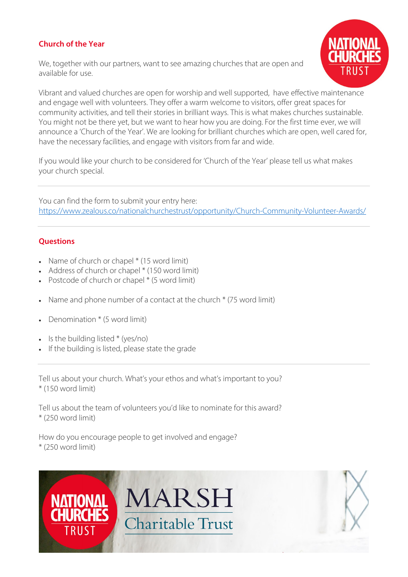# **Church of the Year**

We, together with our partners, want to see amazing churches that are open and available for use.



Vibrant and valued churches are open for worship and well supported, have effective maintenance and engage well with volunteers. They offer a warm welcome to visitors, offer great spaces for community activities, and tell their stories in brilliant ways. This is what makes churches sustainable. You might not be there yet, but we want to hear how you are doing. For the first time ever, we will announce a 'Church of the Year'. We are looking for brilliant churches which are open, well cared for, have the necessary facilities, and engage with visitors from far and wide.

If you would like your church to be considered for 'Church of the Year' please tell us what makes your church special.

You can find the form to submit your entry here: <https://www.zealous.co/nationalchurchestrust/opportunity/Church-Community-Volunteer-Awards/>

## **Questions**

- Name of church or chapel \* (15 word limit)
- Address of church or chapel \* (150 word limit)
- Postcode of church or chapel \* (5 word limit)
- Name and phone number of a contact at the church \* (75 word limit)
- Denomination \* (5 word limit)
- Is the building listed \* (yes/no)
- If the building is listed, please state the grade

Tell us about your church. What's your ethos and what's important to you? \* (150 word limit)

Tell us about the team of volunteers you'd like to nominate for this award? \* (250 word limit)

How do you encourage people to get involved and engage? \* (250 word limit)